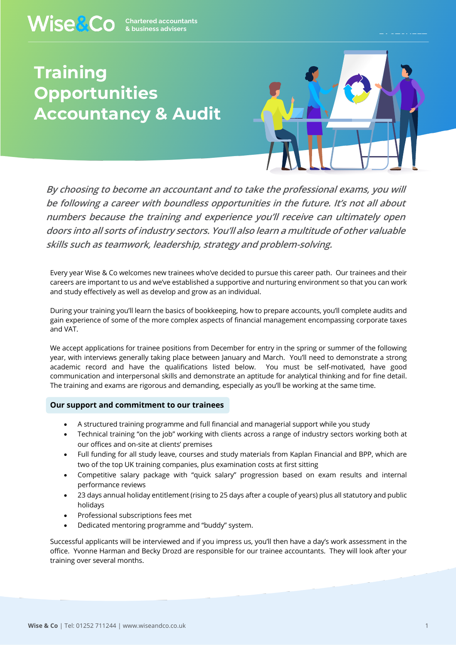## **Training Opportunities Accountancy & Audit**



**By choosing to become an accountant and to take the professional exams, you will be following a career with boundless opportunities in the future. It's not all about numbers because the training and experience you'll receive can ultimately open doors into all sorts of industry sectors. You'll also learn a multitude of other valuable skills such as teamwork, leadership, strategy and problem-solving.** 

Every year Wise & Co welcomes new trainees who've decided to pursue this career path. Our trainees and their careers are important to us and we've established a supportive and nurturing environment so that you can work and study effectively as well as develop and grow as an individual.

During your training you'll learn the basics of bookkeeping, how to prepare accounts, you'll complete audits and gain experience of some of the more complex aspects of financial management encompassing corporate taxes and VAT.

We accept applications for trainee positions from December for entry in the spring or summer of the following year, with interviews generally taking place between January and March. You'll need to demonstrate a strong academic record and have the qualifications listed below. You must be self-motivated, have good communication and interpersonal skills and demonstrate an aptitude for analytical thinking and for fine detail. The training and exams are rigorous and demanding, especially as you'll be working at the same time.

## **Our support and commitment to our trainees**

- A structured training programme and full financial and managerial support while you study
- Technical training "on the job" working with clients across a range of industry sectors working both at our offices and on-site at clients' premises
- Full funding for all study leave, courses and study materials from Kaplan Financial and BPP, which are two of the top UK training companies, plus examination costs at first sitting
- Competitive salary package with "quick salary" progression based on exam results and internal performance reviews
- 23 days annual holiday entitlement (rising to 25 days after a couple of years) plus all statutory and public holidays
- Professional subscriptions fees met
- Dedicated mentoring programme and "buddy" system.

Successful applicants will be interviewed and if you impress us, you'll then have a day's work assessment in the office. Yvonne Harman and Becky Drozd are responsible for our trainee accountants. They will look after your training over several months.